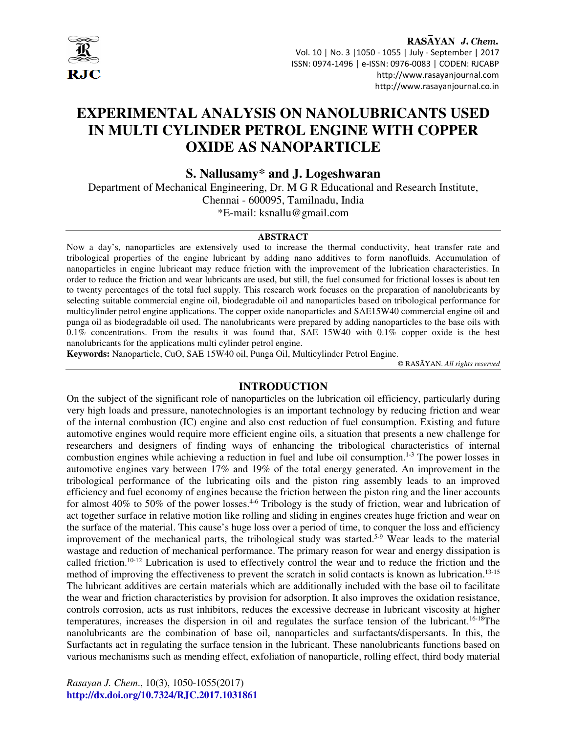

RASAYAN J. Chem. Vol. 10 | No. 3 |1050 - 1055 | July - September | 2017 ISSN: 0974-1496 | e-ISSN: 0976-0083 | CODEN: RJCABP http://www.rasayanjournal.com http://www.rasayanjournal.co.in

# **EXPERIMENTAL ANALYSIS ON NANOLUBRICANTS USED IN MULTI CYLINDER PETROL ENGINE WITH COPPER OXIDE AS NANOPARTICLE**

**S. Nallusamy\* and J. Logeshwaran** 

Department of Mechanical Engineering, Dr. M G R Educational and Research Institute, Chennai - 600095, Tamilnadu, India \*E-mail: ksnallu@gmail.com

#### **ABSTRACT**

Now a day's, nanoparticles are extensively used to increase the thermal conductivity, heat transfer rate and tribological properties of the engine lubricant by adding nano additives to form nanofluids. Accumulation of nanoparticles in engine lubricant may reduce friction with the improvement of the lubrication characteristics. In order to reduce the friction and wear lubricants are used, but still, the fuel consumed for frictional losses is about ten to twenty percentages of the total fuel supply. This research work focuses on the preparation of nanolubricants by selecting suitable commercial engine oil, biodegradable oil and nanoparticles based on tribological performance for multicylinder petrol engine applications. The copper oxide nanoparticles and SAE15W40 commercial engine oil and punga oil as biodegradable oil used. The nanolubricants were prepared by adding nanoparticles to the base oils with 0.1% concentrations. From the results it was found that, SAE 15W40 with 0.1% copper oxide is the best nanolubricants for the applications multi cylinder petrol engine.

**Keywords:** Nanoparticle, CuO, SAE 15W40 oil, Punga Oil, Multicylinder Petrol Engine.

© RASĀYAN. *All rights reserved*

#### **INTRODUCTION**

On the subject of the significant role of nanoparticles on the lubrication oil efficiency, particularly during very high loads and pressure, nanotechnologies is an important technology by reducing friction and wear of the internal combustion (IC) engine and also cost reduction of fuel consumption. Existing and future automotive engines would require more efficient engine oils, a situation that presents a new challenge for researchers and designers of finding ways of enhancing the tribological characteristics of internal combustion engines while achieving a reduction in fuel and lube oil consumption.<sup>1-3</sup> The power losses in automotive engines vary between 17% and 19% of the total energy generated. An improvement in the tribological performance of the lubricating oils and the piston ring assembly leads to an improved efficiency and fuel economy of engines because the friction between the piston ring and the liner accounts for almost 40% to 50% of the power losses.<sup>4-6</sup> Tribology is the study of friction, wear and lubrication of act together surface in relative motion like rolling and sliding in engines creates huge friction and wear on the surface of the material. This cause's huge loss over a period of time, to conquer the loss and efficiency improvement of the mechanical parts, the tribological study was started.<sup>5-9</sup> Wear leads to the material wastage and reduction of mechanical performance. The primary reason for wear and energy dissipation is called friction.10-12 Lubrication is used to effectively control the wear and to reduce the friction and the method of improving the effectiveness to prevent the scratch in solid contacts is known as lubrication. 13-15 The lubricant additives are certain materials which are additionally included with the base oil to facilitate the wear and friction characteristics by provision for adsorption. It also improves the oxidation resistance, controls corrosion, acts as rust inhibitors, reduces the excessive decrease in lubricant viscosity at higher temperatures, increases the dispersion in oil and regulates the surface tension of the lubricant.16-18The nanolubricants are the combination of base oil, nanoparticles and surfactants/dispersants. In this, the Surfactants act in regulating the surface tension in the lubricant. These nanolubricants functions based on various mechanisms such as mending effect, exfoliation of nanoparticle, rolling effect, third body material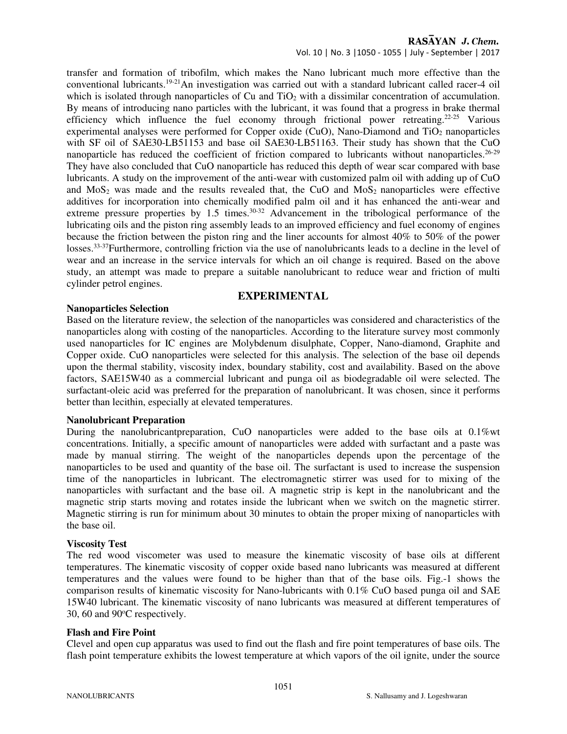## RASAYAN J. Chem.

Vol. 10 | No. 3 |1050 - 1055 | July - September | 2017

transfer and formation of tribofilm, which makes the Nano lubricant much more effective than the conventional lubricants.19-21An investigation was carried out with a standard lubricant called racer-4 oil which is isolated through nanoparticles of Cu and  $TiO<sub>2</sub>$  with a dissimilar concentration of accumulation. By means of introducing nano particles with the lubricant, it was found that a progress in brake thermal efficiency which influence the fuel economy through frictional power retreating.<sup>22-25</sup> Various experimental analyses were performed for Copper oxide (CuO), Nano-Diamond and  $TiO<sub>2</sub>$  nanoparticles with SF oil of SAE30-LB51153 and base oil SAE30-LB51163. Their study has shown that the CuO nanoparticle has reduced the coefficient of friction compared to lubricants without nanoparticles.<sup>26-29</sup> They have also concluded that CuO nanoparticle has reduced this depth of wear scar compared with base lubricants. A study on the improvement of the anti-wear with customized palm oil with adding up of CuO and MoS<sub>2</sub> was made and the results revealed that, the CuO and MoS<sub>2</sub> nanoparticles were effective additives for incorporation into chemically modified palm oil and it has enhanced the anti-wear and extreme pressure properties by 1.5 times.<sup>30-32</sup> Advancement in the tribological performance of the lubricating oils and the piston ring assembly leads to an improved efficiency and fuel economy of engines because the friction between the piston ring and the liner accounts for almost 40% to 50% of the power losses.33-37Furthermore, controlling friction via the use of nanolubricants leads to a decline in the level of wear and an increase in the service intervals for which an oil change is required. Based on the above study, an attempt was made to prepare a suitable nanolubricant to reduce wear and friction of multi cylinder petrol engines.

## **EXPERIMENTAL**

#### **Nanoparticles Selection**

Based on the literature review, the selection of the nanoparticles was considered and characteristics of the nanoparticles along with costing of the nanoparticles. According to the literature survey most commonly used nanoparticles for IC engines are Molybdenum disulphate, Copper, Nano-diamond, Graphite and Copper oxide. CuO nanoparticles were selected for this analysis. The selection of the base oil depends upon the thermal stability, viscosity index, boundary stability, cost and availability. Based on the above factors, SAE15W40 as a commercial lubricant and punga oil as biodegradable oil were selected. The surfactant-oleic acid was preferred for the preparation of nanolubricant. It was chosen, since it performs better than lecithin, especially at elevated temperatures.

#### **Nanolubricant Preparation**

During the nanolubricantpreparation, CuO nanoparticles were added to the base oils at 0.1%wt concentrations. Initially, a specific amount of nanoparticles were added with surfactant and a paste was made by manual stirring. The weight of the nanoparticles depends upon the percentage of the nanoparticles to be used and quantity of the base oil. The surfactant is used to increase the suspension time of the nanoparticles in lubricant. The electromagnetic stirrer was used for to mixing of the nanoparticles with surfactant and the base oil. A magnetic strip is kept in the nanolubricant and the magnetic strip starts moving and rotates inside the lubricant when we switch on the magnetic stirrer. Magnetic stirring is run for minimum about 30 minutes to obtain the proper mixing of nanoparticles with the base oil.

## **Viscosity Test**

The red wood viscometer was used to measure the kinematic viscosity of base oils at different temperatures. The kinematic viscosity of copper oxide based nano lubricants was measured at different temperatures and the values were found to be higher than that of the base oils. Fig.-1 shows the comparison results of kinematic viscosity for Nano-lubricants with 0.1% CuO based punga oil and SAE 15W40 lubricant. The kinematic viscosity of nano lubricants was measured at different temperatures of 30, 60 and  $90^{\circ}$ C respectively.

## **Flash and Fire Point**

Clevel and open cup apparatus was used to find out the flash and fire point temperatures of base oils. The flash point temperature exhibits the lowest temperature at which vapors of the oil ignite, under the source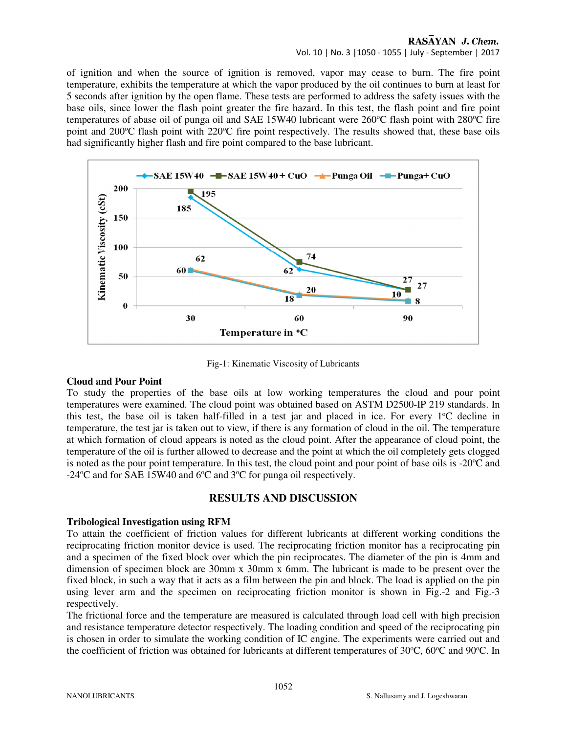#### RASAYAN J. Chem. Vol. 10 | No. 3 |1050 - 1055 | July - September | 2017

of ignition and when the source of ignition is removed, vapor may cease to burn. The fire point temperature, exhibits the temperature at which the vapor produced by the oil continues to burn at least for 5 seconds after ignition by the open flame. These tests are performed to address the safety issues with the base oils, since lower the flash point greater the fire hazard. In this test, the flash point and fire point temperatures of abase oil of punga oil and SAE 15W40 lubricant were  $260^{\circ}$ C flash point with  $280^{\circ}$ C fire point and 200 $\degree$ C flash point with 220 $\degree$ C fire point respectively. The results showed that, these base oils



Fig-1: Kinematic Viscosity of Lubricants

#### **Cloud and Pour Point**

To study the properties of the base oils at low working temperatures the cloud and pour point temperatures were examined. The cloud point was obtained based on ASTM D2500-IP 219 standards. In this test, the base oil is taken half-filled in a test jar and placed in ice. For every  $1^{\circ}C$  decline in temperature, the test jar is taken out to view, if there is any formation of cloud in the oil. The temperature at which formation of cloud appears is noted as the cloud point. After the appearance of cloud point, the temperature of the oil is further allowed to decrease and the point at which the oil completely gets clogged is noted as the pour point temperature. In this test, the cloud point and pour point of base oils is  $-20^{\circ}$ C and  $-24$ <sup>o</sup>C and for SAE 15W40 and 6<sup>o</sup>C and 3<sup>o</sup>C for punga oil respectively.

# **RESULTS AND DISCUSSION**

## **Tribological Investigation using RFM**

To attain the coefficient of friction values for different lubricants at different working conditions the reciprocating friction monitor device is used. The reciprocating friction monitor has a reciprocating pin and a specimen of the fixed block over which the pin reciprocates. The diameter of the pin is 4mm and dimension of specimen block are 30mm x 30mm x 6mm. The lubricant is made to be present over the fixed block, in such a way that it acts as a film between the pin and block. The load is applied on the pin using lever arm and the specimen on reciprocating friction monitor is shown in Fig.-2 and Fig.-3 respectively.

The frictional force and the temperature are measured is calculated through load cell with high precision and resistance temperature detector respectively. The loading condition and speed of the reciprocating pin is chosen in order to simulate the working condition of IC engine. The experiments were carried out and the coefficient of friction was obtained for lubricants at different temperatures of  $30^{\circ}$ C,  $60^{\circ}$ C and  $90^{\circ}$ C. In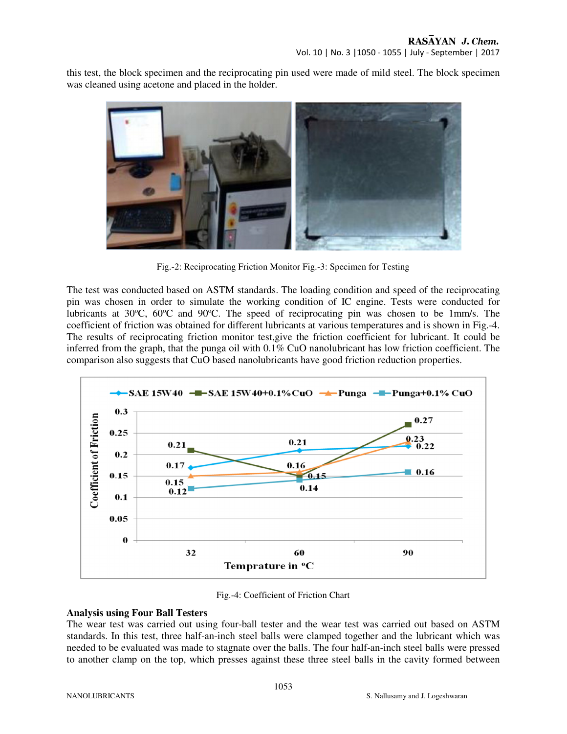this test, the block specimen and the reciprocating pin used were made of mild steel. The block specimen was cleaned using acetone and placed in the holder.



Fig.-2: Reciprocating Friction Monitor Fig.-3: Specimen for Testing

The test was conducted based on ASTM standards. The loading condition and speed of the reciprocating pin was chosen in order to simulate the working condition of IC engine. Tests were conducted for lubricants at 30°C, 60°C and 90°C. The speed of reciprocating pin was chosen to be 1mm/s. The coefficient of friction was obtained for different lubricants at various temperatures and is shown in Fig.-4. The results of reciprocating friction monitor test,give the friction coefficient for lubricant. It could be inferred from the graph, that the punga oil with 0.1% CuO nanolubricant has low friction coefficient. The comparison also suggests that CuO based nanolubricants have good friction reduction properties.



Fig.-4: Coefficient of Friction Chart

## **Analysis using Four Ball Testers**

The wear test was carried out using four-ball tester and the wear test was carried out based on ASTM standards. In this test, three half-an-inch steel balls were clamped together and the lubricant which was needed to be evaluated was made to stagnate over the balls. The four half-an-inch steel balls were pressed to another clamp on the top, which presses against these three steel balls in the cavity formed between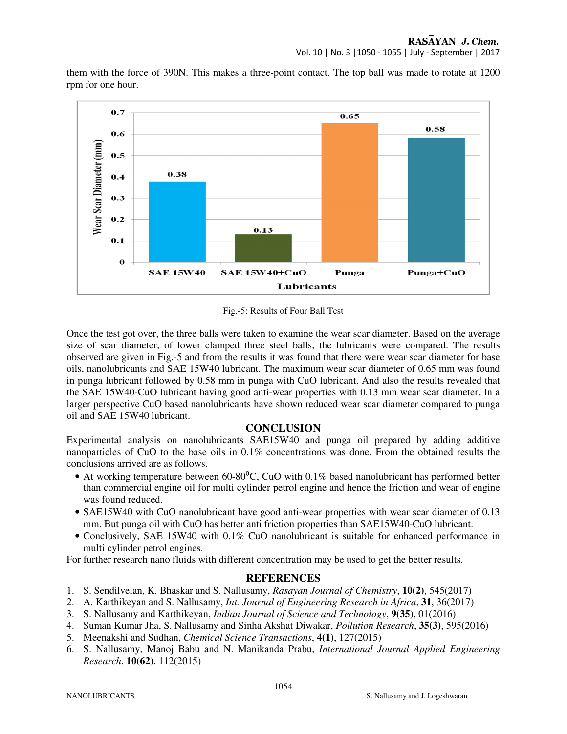Vol. 10 | No. 3 |1050 - 1055 | July - September | 2017

them with the force of 390N. This makes a three-point contact. The top ball was made to rotate at 1200 rpm for one hour.



Fig.-5: Results of Four Ball Test

Once the test got over, the three balls were taken to examine the wear scar diameter. Based on the average size of scar diameter, of lower clamped three steel balls, the lubricants were compared. The results observed are given in Fig.-5 and from the results it was found that there were wear scar diameter for base oils, nanolubricants and SAE 15W40 lubricant. The maximum wear scar diameter of 0.65 mm was found in punga lubricant followed by 0.58 mm in punga with CuO lubricant. And also the results revealed that the SAE 15W40-CuO lubricant having good anti-wear properties with 0.13 mm wear scar diameter. In a larger perspective CuO based nanolubricants have shown reduced wear scar diameter compared to punga oil and SAE 15W40 lubricant.

# **CONCLUSION**

Experimental analysis on nanolubricants SAE15W40 and punga oil prepared by adding additive nanoparticles of CuO to the base oils in 0.1% concentrations was done. From the obtained results the conclusions arrived are as follows.

- At working temperature between  $60-80^{\circ}$ C, CuO with 0.1% based nanolubricant has performed better than commercial engine oil for multi cylinder petrol engine and hence the friction and wear of engine was found reduced.
- SAE15W40 with CuO nanolubricant have good anti-wear properties with wear scar diameter of 0.13 mm. But punga oil with CuO has better anti friction properties than SAE15W40-CuO lubricant.
- Conclusively, SAE 15W40 with 0.1% CuO nanolubricant is suitable for enhanced performance in multi cylinder petrol engines.

For further research nano fluids with different concentration may be used to get the better results.

## **REFERENCES**

- 1. S. Sendilvelan, K. Bhaskar and S. Nallusamy, *Rasayan Journal of Chemistry*, **10(2)**, 545(2017)
- 2. A. Karthikeyan and S. Nallusamy, *Int. Journal of Engineering Research in Africa*, **31**, 36(2017)
- 3. S. Nallusamy and Karthikeyan, *Indian Journal of Science and Technology*, **9(35)**, 01(2016)
- 4. Suman Kumar Jha, S. Nallusamy and Sinha Akshat Diwakar, *Pollution Research*, **35(3)**, 595(2016)
- 5. Meenakshi and Sudhan, *Chemical Science Transactions*, **4(1)**, 127(2015)
- 6. S. Nallusamy, Manoj Babu and N. Manikanda Prabu, *International Journal Applied Engineering Research*, **10(62)**, 112(2015)